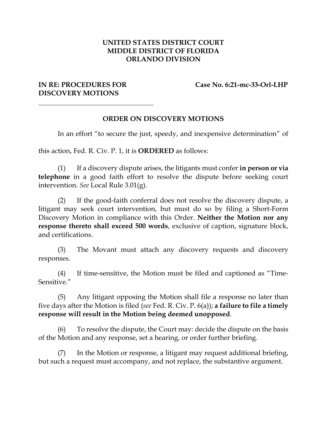## **UNITED STATES DISTRICT COURT MIDDLE DISTRICT OF FLORIDA ORLANDO DIVISION**

## **DISCOVERY MOTIONS**

**IN RE: PROCEDURES FOR** Case No. 6:21-mc-33-Orl-LHP

## **ORDER ON DISCOVERY MOTIONS**

In an effort "to secure the just, speedy, and inexpensive determination" of

this action, Fed. R. Civ. P. 1, it is **ORDERED** as follows:

(1) If a discovery dispute arises, the litigants must confer **in person or via telephone** in a good faith effort to resolve the dispute before seeking court intervention. *See* Local Rule 3.01(g).

(2) If the good-faith conferral does not resolve the discovery dispute, a litigant may seek court intervention, but must do so by filing a Short-Form Discovery Motion in compliance with this Order. **Neither the Motion nor any response thereto shall exceed 500 words**, exclusive of caption, signature block, and certifications.

(3) The Movant must attach any discovery requests and discovery responses.

(4) If time-sensitive, the Motion must be filed and captioned as "Time-Sensitive."

(5) Any litigant opposing the Motion shall file a response no later than five days after the Motion is filed (*see* Fed. R. Civ. P. 6(a)); **a failure to file a timely response will result in the Motion being deemed unopposed**.

(6) To resolve the dispute, the Court may: decide the dispute on the basis of the Motion and any response, set a hearing, or order further briefing.

(7) In the Motion or response, a litigant may request additional briefing, but such a request must accompany, and not replace, the substantive argument.